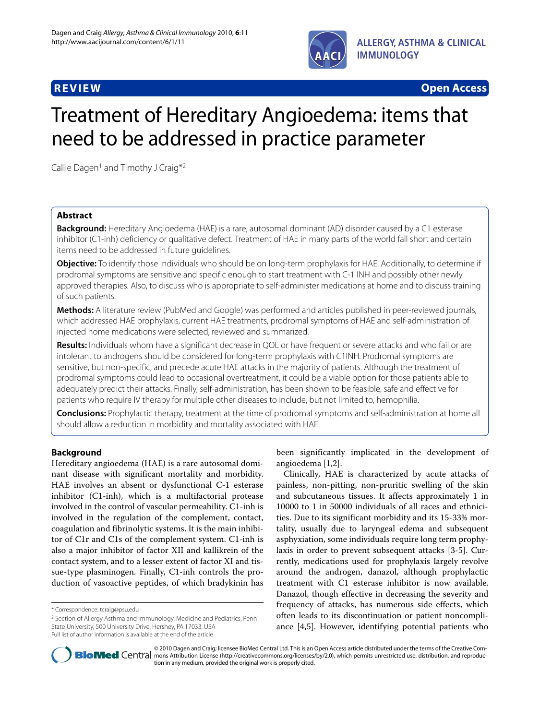

**REVIEW Open Access** 

# Treatment of Hereditary Angioedema: items that need to be addressed in practice parameter

Callie Dagen<sup>1</sup> and Timothy J Craig<sup>\*2</sup>

# **Abstract**

**Background:** Hereditary Angioedema (HAE) is a rare, autosomal dominant (AD) disorder caused by a C1 esterase inhibitor (C1-inh) deficiency or qualitative defect. Treatment of HAE in many parts of the world fall short and certain items need to be addressed in future guidelines.

**Objective:** To identify those individuals who should be on long-term prophylaxis for HAE. Additionally, to determine if prodromal symptoms are sensitive and specific enough to start treatment with C-1 INH and possibly other newly approved therapies. Also, to discuss who is appropriate to self-administer medications at home and to discuss training of such patients.

**Methods:** A literature review (PubMed and Google) was performed and articles published in peer-reviewed journals, which addressed HAE prophylaxis, current HAE treatments, prodromal symptoms of HAE and self-administration of injected home medications were selected, reviewed and summarized.

**Results:** Individuals whom have a significant decrease in OOL or have frequent or severe attacks and who fail or are intolerant to androgens should be considered for long-term prophylaxis with C1INH. Prodromal symptoms are sensitive, but non-specific, and precede acute HAE attacks in the majority of patients. Although the treatment of prodromal symptoms could lead to occasional overtreatment, it could be a viable option for those patients able to adequately predict their attacks. Finally, self-administration, has been shown to be feasible, safe and effective for patients who require IV therapy for multiple other diseases to include, but not limited to, hemophilia.

**Conclusions:** Prophylactic therapy, treatment at the time of prodromal symptoms and self-administration at home all should allow a reduction in morbidity and mortality associated with HAE.

# **Background**

Hereditary angioedema (HAE) is a rare autosomal dominant disease with significant mortality and morbidity. HAE involves an absent or dysfunctional C-1 esterase inhibitor (C1-inh), which is a multifactorial protease involved in the control of vascular permeability. C1-inh is involved in the regulation of the complement, contact, coagulation and fibrinolytic systems. It is the main inhibitor of C1r and C1s of the complement system. C1-inh is also a major inhibitor of factor XII and kallikrein of the contact system, and to a lesser extent of factor XI and tissue-type plasminogen. Finally, C1-inh controls the production of vasoactive peptides, of which bradykinin has been significantly implicated in the development of angioedema [[1,](#page-6-0)[2\]](#page-6-1).

Clinically, HAE is characterized by acute attacks of painless, non-pitting, non-pruritic swelling of the skin and subcutaneous tissues. It affects approximately 1 in 10000 to 1 in 50000 individuals of all races and ethnicities. Due to its significant morbidity and its 15-33% mortality, usually due to laryngeal edema and subsequent asphyxiation, some individuals require long term prophylaxis in order to prevent subsequent attacks [[3-](#page-6-2)[5](#page-6-3)]. Currently, medications used for prophylaxis largely revolve around the androgen, danazol, although prophylactic treatment with C1 esterase inhibitor is now available. Danazol, though effective in decreasing the severity and frequency of attacks, has numerous side effects, which often leads to its discontinuation or patient noncompliance [[4,](#page-6-4)[5\]](#page-6-3). However, identifying potential patients who



© 2010 Dagen and Craig; licensee BioMed Central Ltd. This is an Open Access article distributed under the terms of the Creative Com-**Bio Med** Central mons Attribution License (http://creativecommons.org/licenses/by/2.0), which permits unrestricted use, distribution, and reproduction in any medium, provided the original work is properly cited.

<sup>\*</sup> Correspondence: tcraig@psu.edu

<sup>2</sup> Section of Allergy Asthma and Immunology, Medicine and Pediatrics, Penn State University, 500 University Drive, Hershey, PA 17033, USA Full list of author information is available at the end of the article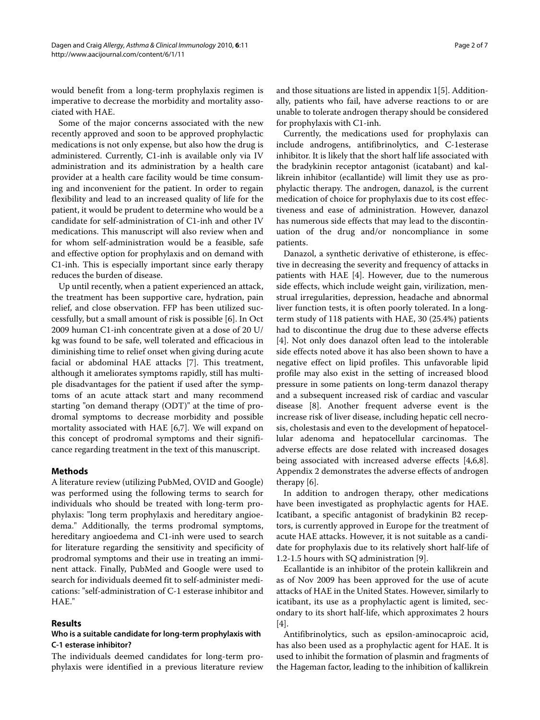would benefit from a long-term prophylaxis regimen is imperative to decrease the morbidity and mortality associated with HAE.

Some of the major concerns associated with the new recently approved and soon to be approved prophylactic medications is not only expense, but also how the drug is administered. Currently, C1-inh is available only via IV administration and its administration by a health care provider at a health care facility would be time consuming and inconvenient for the patient. In order to regain flexibility and lead to an increased quality of life for the patient, it would be prudent to determine who would be a candidate for self-administration of C1-inh and other IV medications. This manuscript will also review when and for whom self-administration would be a feasible, safe and effective option for prophylaxis and on demand with C1-inh. This is especially important since early therapy reduces the burden of disease.

Up until recently, when a patient experienced an attack, the treatment has been supportive care, hydration, pain relief, and close observation. FFP has been utilized successfully, but a small amount of risk is possible [\[6](#page-6-5)]. In Oct 2009 human C1-inh concentrate given at a dose of 20 U/ kg was found to be safe, well tolerated and efficacious in diminishing time to relief onset when giving during acute facial or abdominal HAE attacks [[7\]](#page-6-6). This treatment, although it ameliorates symptoms rapidly, still has multiple disadvantages for the patient if used after the symptoms of an acute attack start and many recommend starting "on demand therapy (ODT)" at the time of prodromal symptoms to decrease morbidity and possible mortality associated with HAE [\[6](#page-6-5),[7](#page-6-6)]. We will expand on this concept of prodromal symptoms and their significance regarding treatment in the text of this manuscript.

# **Methods**

A literature review (utilizing PubMed, OVID and Google) was performed using the following terms to search for individuals who should be treated with long-term prophylaxis: "long term prophylaxis and hereditary angioedema." Additionally, the terms prodromal symptoms, hereditary angioedema and C1-inh were used to search for literature regarding the sensitivity and specificity of prodromal symptoms and their use in treating an imminent attack. Finally, PubMed and Google were used to search for individuals deemed fit to self-administer medications: "self-administration of C-1 esterase inhibitor and HAE."

# **Results**

# **Who is a suitable candidate for long-term prophylaxis with C-1 esterase inhibitor?**

The individuals deemed candidates for long-term prophylaxis were identified in a previous literature review

and those situations are listed in appendix 1[[5\]](#page-6-3). Additionally, patients who fail, have adverse reactions to or are unable to tolerate androgen therapy should be considered for prophylaxis with C1-inh.

Currently, the medications used for prophylaxis can include androgens, antifibrinolytics, and C-1esterase inhibitor. It is likely that the short half life associated with the bradykinin receptor antagonist (icatabant) and kallikrein inhibitor (ecallantide) will limit they use as prophylactic therapy. The androgen, danazol, is the current medication of choice for prophylaxis due to its cost effectiveness and ease of administration. However, danazol has numerous side effects that may lead to the discontinuation of the drug and/or noncompliance in some patients.

Danazol, a synthetic derivative of ethisterone, is effective in decreasing the severity and frequency of attacks in patients with HAE [\[4](#page-6-4)]. However, due to the numerous side effects, which include weight gain, virilization, menstrual irregularities, depression, headache and abnormal liver function tests, it is often poorly tolerated. In a longterm study of 118 patients with HAE, 30 (25.4%) patients had to discontinue the drug due to these adverse effects [[4\]](#page-6-4). Not only does danazol often lead to the intolerable side effects noted above it has also been shown to have a negative effect on lipid profiles. This unfavorable lipid profile may also exist in the setting of increased blood pressure in some patients on long-term danazol therapy and a subsequent increased risk of cardiac and vascular disease [\[8](#page-6-7)]. Another frequent adverse event is the increase risk of liver disease, including hepatic cell necrosis, cholestasis and even to the development of hepatocellular adenoma and hepatocellular carcinomas. The adverse effects are dose related with increased dosages being associated with increased adverse effects [\[4](#page-6-4)[,6](#page-6-5)[,8](#page-6-7)]. Appendix 2 demonstrates the adverse effects of androgen therapy [\[6](#page-6-5)].

In addition to androgen therapy, other medications have been investigated as prophylactic agents for HAE. Icatibant, a specific antagonist of bradykinin B2 receptors, is currently approved in Europe for the treatment of acute HAE attacks. However, it is not suitable as a candidate for prophylaxis due to its relatively short half-life of 1.2-1.5 hours with SQ administration [[9\]](#page-6-8).

Ecallantide is an inhibitor of the protein kallikrein and as of Nov 2009 has been approved for the use of acute attacks of HAE in the United States. However, similarly to icatibant, its use as a prophylactic agent is limited, secondary to its short half-life, which approximates 2 hours  $[4]$  $[4]$ .

Antifibrinolytics, such as epsilon-aminocaproic acid, has also been used as a prophylactic agent for HAE. It is used to inhibit the formation of plasmin and fragments of the Hageman factor, leading to the inhibition of kallikrein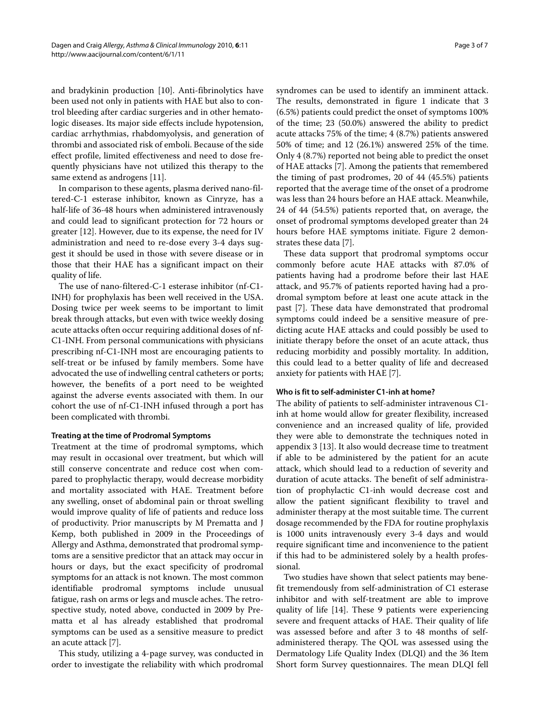and bradykinin production [\[10](#page-6-9)]. Anti-fibrinolytics have been used not only in patients with HAE but also to control bleeding after cardiac surgeries and in other hematologic diseases. Its major side effects include hypotension, cardiac arrhythmias, rhabdomyolysis, and generation of thrombi and associated risk of emboli. Because of the side effect profile, limited effectiveness and need to dose frequently physicians have not utilized this therapy to the same extend as androgens [\[11](#page-6-10)].

In comparison to these agents, plasma derived nano-filtered-C-1 esterase inhibitor, known as Cinryze, has a half-life of 36-48 hours when administered intravenously and could lead to significant protection for 72 hours or greater [\[12\]](#page-6-11). However, due to its expense, the need for IV administration and need to re-dose every 3-4 days suggest it should be used in those with severe disease or in those that their HAE has a significant impact on their quality of life.

The use of nano-filtered-C-1 esterase inhibitor (nf-C1- INH) for prophylaxis has been well received in the USA. Dosing twice per week seems to be important to limit break through attacks, but even with twice weekly dosing acute attacks often occur requiring additional doses of nf-C1-INH. From personal communications with physicians prescribing nf-C1-INH most are encouraging patients to self-treat or be infused by family members. Some have advocated the use of indwelling central catheters or ports; however, the benefits of a port need to be weighted against the adverse events associated with them. In our cohort the use of nf-C1-INH infused through a port has been complicated with thrombi.

#### **Treating at the time of Prodromal Symptoms**

Treatment at the time of prodromal symptoms, which may result in occasional over treatment, but which will still conserve concentrate and reduce cost when compared to prophylactic therapy, would decrease morbidity and mortality associated with HAE. Treatment before any swelling, onset of abdominal pain or throat swelling would improve quality of life of patients and reduce loss of productivity. Prior manuscripts by M Prematta and J Kemp, both published in 2009 in the Proceedings of Allergy and Asthma, demonstrated that prodromal symptoms are a sensitive predictor that an attack may occur in hours or days, but the exact specificity of prodromal symptoms for an attack is not known. The most common identifiable prodromal symptoms include unusual fatigue, rash on arms or legs and muscle aches. The retrospective study, noted above, conducted in 2009 by Prematta et al has already established that prodromal symptoms can be used as a sensitive measure to predict an acute attack [\[7](#page-6-6)].

This study, utilizing a 4-page survey, was conducted in order to investigate the reliability with which prodromal

syndromes can be used to identify an imminent attack. The results, demonstrated in figure [1](#page-3-0) indicate that 3 (6.5%) patients could predict the onset of symptoms 100% of the time; 23 (50.0%) answered the ability to predict acute attacks 75% of the time; 4 (8.7%) patients answered 50% of time; and 12 (26.1%) answered 25% of the time. Only 4 (8.7%) reported not being able to predict the onset of HAE attacks [[7\]](#page-6-6). Among the patients that remembered the timing of past prodromes, 20 of 44 (45.5%) patients reported that the average time of the onset of a prodrome was less than 24 hours before an HAE attack. Meanwhile, 24 of 44 (54.5%) patients reported that, on average, the onset of prodromal symptoms developed greater than 24 hours before HAE symptoms initiate. Figure [2](#page-4-0) demonstrates these data [\[7](#page-6-6)].

These data support that prodromal symptoms occur commonly before acute HAE attacks with 87.0% of patients having had a prodrome before their last HAE attack, and 95.7% of patients reported having had a prodromal symptom before at least one acute attack in the past [[7](#page-6-6)]. These data have demonstrated that prodromal symptoms could indeed be a sensitive measure of predicting acute HAE attacks and could possibly be used to initiate therapy before the onset of an acute attack, thus reducing morbidity and possibly mortality. In addition, this could lead to a better quality of life and decreased anxiety for patients with HAE [[7\]](#page-6-6).

#### **Who is fit to self-administer C1-inh at home?**

The ability of patients to self-administer intravenous C1 inh at home would allow for greater flexibility, increased convenience and an increased quality of life, provided they were able to demonstrate the techniques noted in appendix 3 [[13](#page-6-12)]. It also would decrease time to treatment if able to be administered by the patient for an acute attack, which should lead to a reduction of severity and duration of acute attacks. The benefit of self administration of prophylactic C1-inh would decrease cost and allow the patient significant flexibility to travel and administer therapy at the most suitable time. The current dosage recommended by the FDA for routine prophylaxis is 1000 units intravenously every 3-4 days and would require significant time and inconvenience to the patient if this had to be administered solely by a health professional.

Two studies have shown that select patients may benefit tremendously from self-administration of C1 esterase inhibitor and with self-treatment are able to improve quality of life [[14\]](#page-6-13). These 9 patients were experiencing severe and frequent attacks of HAE. Their quality of life was assessed before and after 3 to 48 months of selfadministered therapy. The QOL was assessed using the Dermatology Life Quality Index (DLQI) and the 36 Item Short form Survey questionnaires. The mean DLQI fell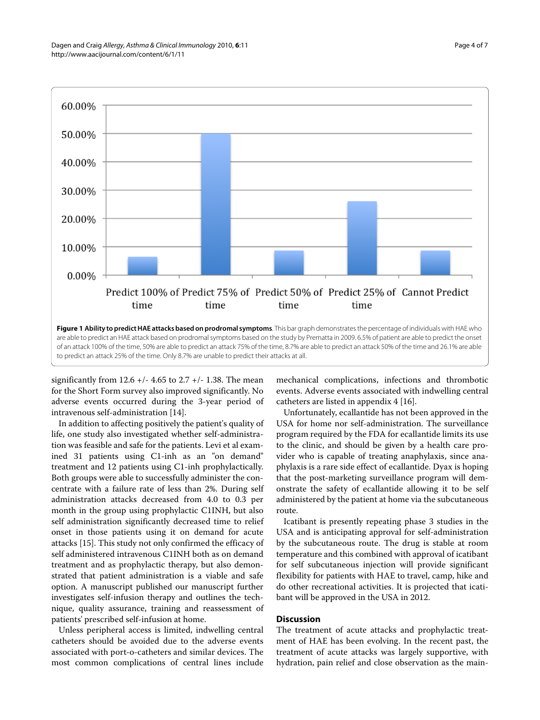<span id="page-3-0"></span>

significantly from 12.6  $+/- 4.65$  to 2.7  $+/- 1.38$ . The mean for the Short Form survey also improved significantly. No adverse events occurred during the 3-year period of intravenous self-administration [\[14](#page-6-13)].

In addition to affecting positively the patient's quality of life, one study also investigated whether self-administration was feasible and safe for the patients. Levi et al examined 31 patients using C1-inh as an "on demand" treatment and 12 patients using C1-inh prophylactically. Both groups were able to successfully administer the concentrate with a failure rate of less than 2%. During self administration attacks decreased from 4.0 to 0.3 per month in the group using prophylactic C1INH, but also self administration significantly decreased time to relief onset in those patients using it on demand for acute attacks [[15](#page-6-14)]. This study not only confirmed the efficacy of self administered intravenous C1INH both as on demand treatment and as prophylactic therapy, but also demonstrated that patient administration is a viable and safe option. A manuscript published our manuscript further investigates self-infusion therapy and outlines the technique, quality assurance, training and reassessment of patients' prescribed self-infusion at home.

Unless peripheral access is limited, indwelling central catheters should be avoided due to the adverse events associated with port-o-catheters and similar devices. The most common complications of central lines include

mechanical complications, infections and thrombotic events. Adverse events associated with indwelling central catheters are listed in appendix 4 [\[16](#page-6-15)].

Unfortunately, ecallantide has not been approved in the USA for home nor self-administration. The surveillance program required by the FDA for ecallantide limits its use to the clinic, and should be given by a health care provider who is capable of treating anaphylaxis, since anaphylaxis is a rare side effect of ecallantide. Dyax is hoping that the post-marketing surveillance program will demonstrate the safety of ecallantide allowing it to be self administered by the patient at home via the subcutaneous route.

Icatibant is presently repeating phase 3 studies in the USA and is anticipating approval for self-administration by the subcutaneous route. The drug is stable at room temperature and this combined with approval of icatibant for self subcutaneous injection will provide significant flexibility for patients with HAE to travel, camp, hike and do other recreational activities. It is projected that icatibant will be approved in the USA in 2012.

#### **Discussion**

The treatment of acute attacks and prophylactic treatment of HAE has been evolving. In the recent past, the treatment of acute attacks was largely supportive, with hydration, pain relief and close observation as the main-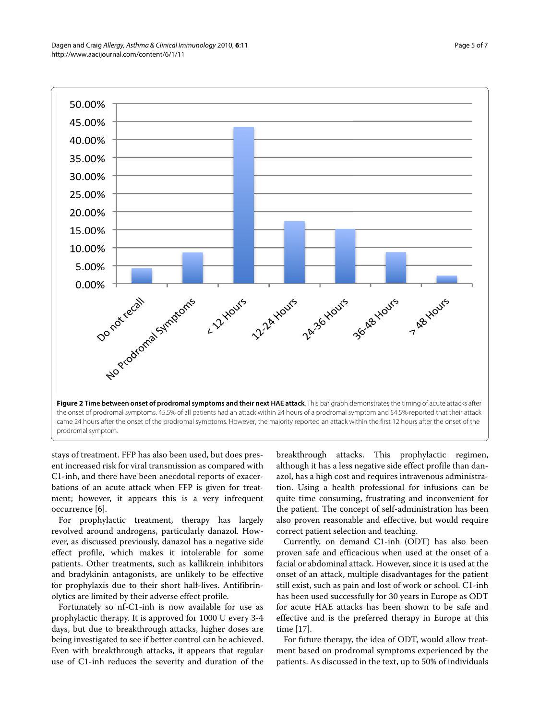<span id="page-4-0"></span>

stays of treatment. FFP has also been used, but does present increased risk for viral transmission as compared with C1-inh, and there have been anecdotal reports of exacerbations of an acute attack when FFP is given for treatment; however, it appears this is a very infrequent occurrence [[6\]](#page-6-5).

For prophylactic treatment, therapy has largely revolved around androgens, particularly danazol. However, as discussed previously, danazol has a negative side effect profile, which makes it intolerable for some patients. Other treatments, such as kallikrein inhibitors and bradykinin antagonists, are unlikely to be effective for prophylaxis due to their short half-lives. Antifibrinolytics are limited by their adverse effect profile.

Fortunately so nf-C1-inh is now available for use as prophylactic therapy. It is approved for 1000 U every 3-4 days, but due to breakthrough attacks, higher doses are being investigated to see if better control can be achieved. Even with breakthrough attacks, it appears that regular use of C1-inh reduces the severity and duration of the

breakthrough attacks. This prophylactic regimen, although it has a less negative side effect profile than danazol, has a high cost and requires intravenous administration. Using a health professional for infusions can be quite time consuming, frustrating and inconvenient for the patient. The concept of self-administration has been also proven reasonable and effective, but would require correct patient selection and teaching.

Currently, on demand C1-inh (ODT) has also been proven safe and efficacious when used at the onset of a facial or abdominal attack. However, since it is used at the onset of an attack, multiple disadvantages for the patient still exist, such as pain and lost of work or school. C1-inh has been used successfully for 30 years in Europe as ODT for acute HAE attacks has been shown to be safe and effective and is the preferred therapy in Europe at this time [[17\]](#page-6-16).

For future therapy, the idea of ODT, would allow treatment based on prodromal symptoms experienced by the patients. As discussed in the text, up to 50% of individuals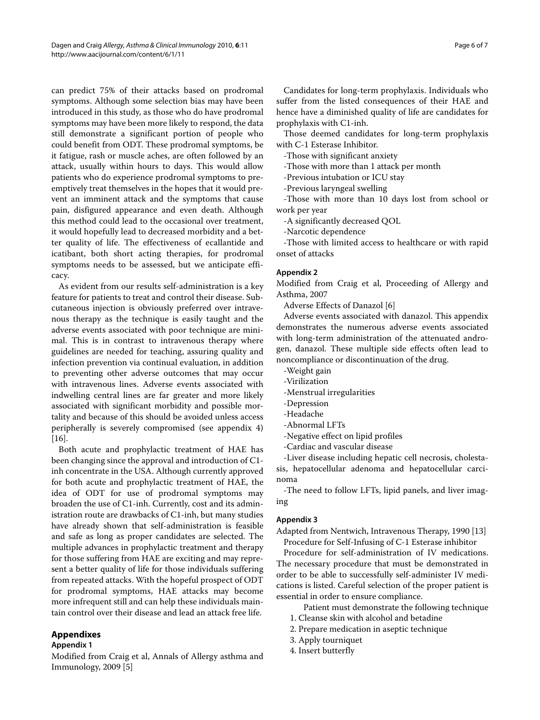can predict 75% of their attacks based on prodromal symptoms. Although some selection bias may have been introduced in this study, as those who do have prodromal symptoms may have been more likely to respond, the data still demonstrate a significant portion of people who could benefit from ODT. These prodromal symptoms, be it fatigue, rash or muscle aches, are often followed by an attack, usually within hours to days. This would allow patients who do experience prodromal symptoms to preemptively treat themselves in the hopes that it would prevent an imminent attack and the symptoms that cause pain, disfigured appearance and even death. Although this method could lead to the occasional over treatment, it would hopefully lead to decreased morbidity and a better quality of life. The effectiveness of ecallantide and icatibant, both short acting therapies, for prodromal symptoms needs to be assessed, but we anticipate efficacy.

As evident from our results self-administration is a key feature for patients to treat and control their disease. Subcutaneous injection is obviously preferred over intravenous therapy as the technique is easily taught and the adverse events associated with poor technique are minimal. This is in contrast to intravenous therapy where guidelines are needed for teaching, assuring quality and infection prevention via continual evaluation, in addition to preventing other adverse outcomes that may occur with intravenous lines. Adverse events associated with indwelling central lines are far greater and more likely associated with significant morbidity and possible mortality and because of this should be avoided unless access peripherally is severely compromised (see appendix 4) [[16\]](#page-6-15).

Both acute and prophylactic treatment of HAE has been changing since the approval and introduction of C1 inh concentrate in the USA. Although currently approved for both acute and prophylactic treatment of HAE, the idea of ODT for use of prodromal symptoms may broaden the use of C1-inh. Currently, cost and its administration route are drawbacks of C1-inh, but many studies have already shown that self-administration is feasible and safe as long as proper candidates are selected. The multiple advances in prophylactic treatment and therapy for those suffering from HAE are exciting and may represent a better quality of life for those individuals suffering from repeated attacks. With the hopeful prospect of ODT for prodromal symptoms, HAE attacks may become more infrequent still and can help these individuals maintain control over their disease and lead an attack free life.

# **Appendixes**

## **Appendix 1**

Modified from Craig et al, Annals of Allergy asthma and Immunology, 2009 [[5\]](#page-6-3)

Candidates for long-term prophylaxis. Individuals who suffer from the listed consequences of their HAE and hence have a diminished quality of life are candidates for prophylaxis with C1-inh.

Those deemed candidates for long-term prophylaxis with C-1 Esterase Inhibitor.

-Those with significant anxiety

-Those with more than 1 attack per month

-Previous intubation or ICU stay

-Previous laryngeal swelling

-Those with more than 10 days lost from school or work per year

-A significantly decreased QOL

-Narcotic dependence

-Those with limited access to healthcare or with rapid onset of attacks

#### **Appendix 2**

Modified from Craig et al, Proceeding of Allergy and Asthma, 2007

Adverse Effects of Danazol [[6\]](#page-6-5)

Adverse events associated with danazol. This appendix demonstrates the numerous adverse events associated with long-term administration of the attenuated androgen, danazol. These multiple side effects often lead to noncompliance or discontinuation of the drug.

- -Weight gain
- -Virilization
- -Menstrual irregularities
- -Depression
- -Headache
- -Abnormal LFTs
- -Negative effect on lipid profiles
- -Cardiac and vascular disease

-Liver disease including hepatic cell necrosis, cholestasis, hepatocellular adenoma and hepatocellular carcinoma

-The need to follow LFTs, lipid panels, and liver imaging

#### **Appendix 3**

Adapted from Nentwich, Intravenous Therapy, 1990 [\[13](#page-6-12)] Procedure for Self-Infusing of C-1 Esterase inhibitor

Procedure for self-administration of IV medications. The necessary procedure that must be demonstrated in order to be able to successfully self-administer IV medications is listed. Careful selection of the proper patient is essential in order to ensure compliance.

Patient must demonstrate the following technique

- 1. Cleanse skin with alcohol and betadine
- 2. Prepare medication in aseptic technique
- 3. Apply tourniquet
- 4. Insert butterfly